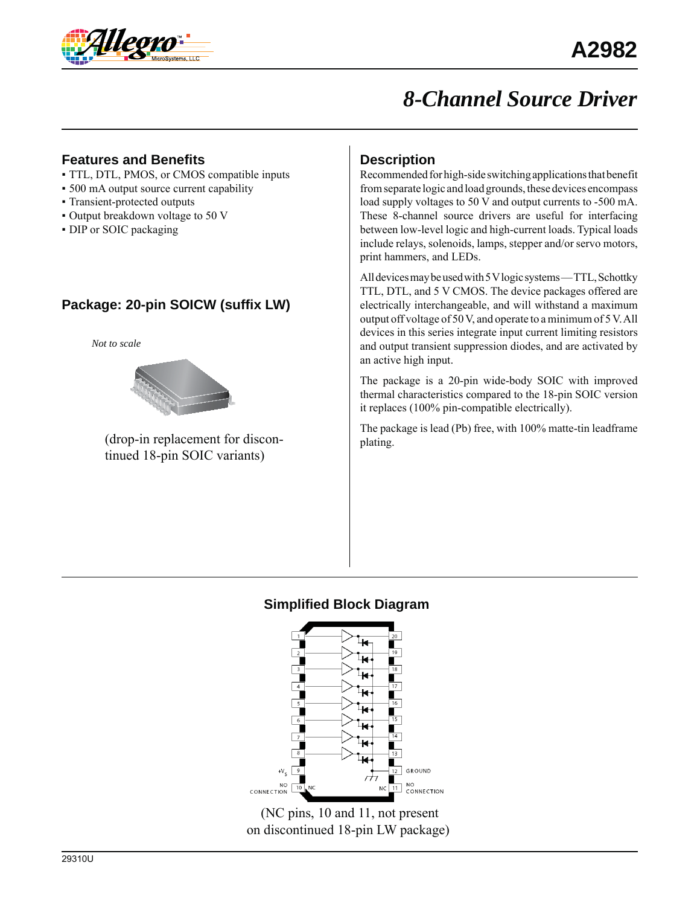

## *8-Channel Source Driver*

#### **Features and Benefits**

- TTL, DTL, PMOS, or CMOS compatible inputs
- 500 mA output source current capability
- Transient-protected outputs
- Output breakdown voltage to 50 V
- DIP or SOIC packaging

## **Package: 20-pin SOICW (suffix LW)**

*Not to scale*



(drop-in replacement for discontinued 18-pin SOIC variants)

## **Description**

Recommended for high-side switching applications that benefit from separate logic and load grounds, these devices encompass load supply voltages to 50 V and output currents to -500 mA. These 8-channel source drivers are useful for interfacing between low-level logic and high-current loads. Typical loads include relays, solenoids, lamps, stepper and/or servo motors, print hammers, and LEDs.

All devices may be used with 5 V logic systems — TTL, Schottky TTL, DTL, and 5 V CMOS. The device packages offered are electrically interchangeable, and will withstand a maximum output off voltage of 50 V, and operate to a minimum of 5 V. All devices in this series integrate input current limiting resistors and output transient suppression diodes, and are activated by an active high input.

The package is a 20-pin wide-body SOIC with improved thermal characteristics compared to the 18-pin SOIC version it replaces (100% pin-compatible electrically).

The package is lead (Pb) free, with 100% matte-tin leadframe plating.

### **Simplified Block Diagram**



 (NC pins, 10 and 11, not present on discontinued 18-pin LW package)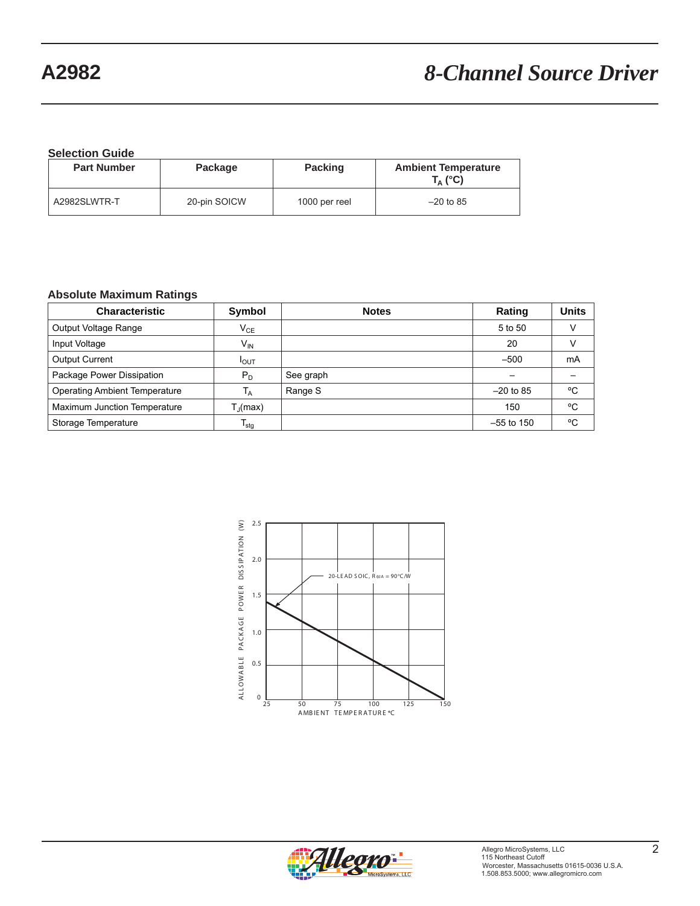# **A2982** *8-Channel Source Driver*

**Selection Guide**

| <b>Part Number</b> | Package      | <b>Packing</b> | <b>Ambient Temperature</b><br>$T_A$ (°C) |
|--------------------|--------------|----------------|------------------------------------------|
| A2982SLWTR-T       | 20-pin SOICW | 1000 per reel  | $-20$ to 85                              |

#### **Absolute Maximum Ratings**

| <b>Characteristic</b>                | Symbol                     | <b>Notes</b> | Rating                   | <b>Units</b> |
|--------------------------------------|----------------------------|--------------|--------------------------|--------------|
| Output Voltage Range                 | $\mathsf{V}_{\mathsf{CE}}$ |              | 5 to 50                  |              |
| Input Voltage                        | V <sub>IN</sub>            |              | 20                       |              |
| <b>Output Current</b>                | I <sub>OUT</sub>           |              | $-500$                   | mA           |
| Package Power Dissipation            | $P_D$                      | See graph    | $\overline{\phantom{0}}$ |              |
| <b>Operating Ambient Temperature</b> | $T_A$                      | Range S      | $-20$ to 85              | °C           |
| Maximum Junction Temperature         | $T_{\rm d}$ (max)          |              | 150                      | °C           |
| Storage Temperature                  | $\mathsf{T}_{\text{stg}}$  |              | $-55$ to 150             | °C           |



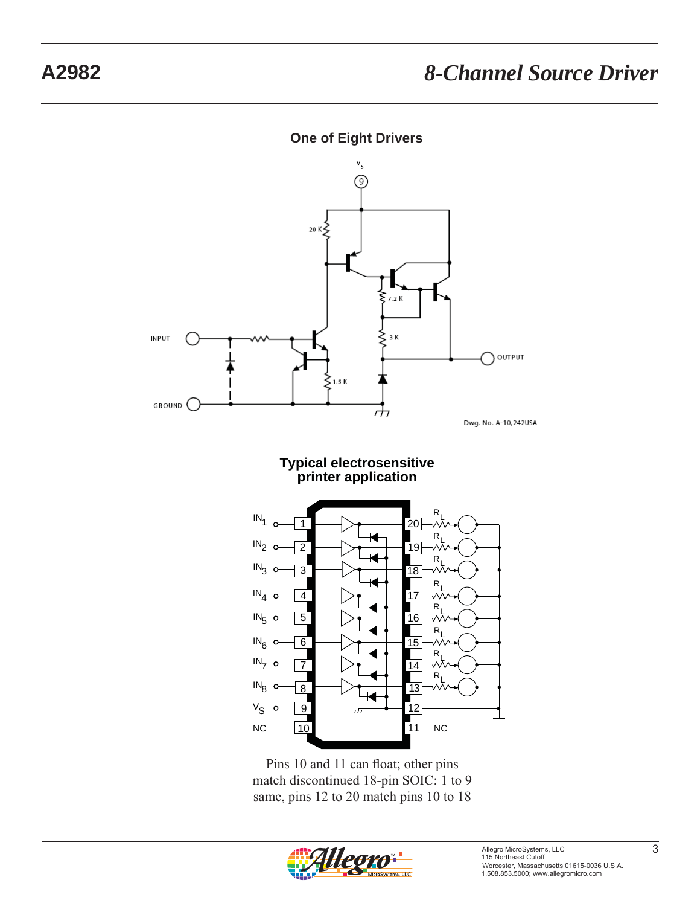



Pins 10 and 11 can float; other pins match discontinued 18-pin SOIC: 1 to 9 same, pins 12 to 20 match pins 10 to 18

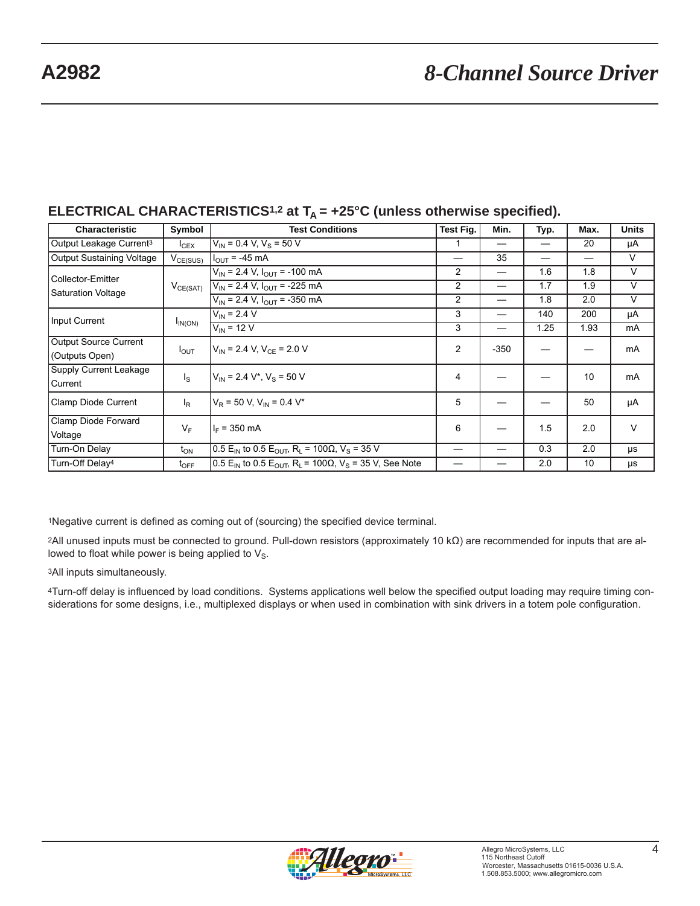## **A2982** *8-Channel Source Driver*

| <b>Characteristic</b>                          | Symbol                  | <b>Test Conditions</b>                                                       | Test Fig.      | Min.   | Typ.                     | Max. | <b>Units</b> |
|------------------------------------------------|-------------------------|------------------------------------------------------------------------------|----------------|--------|--------------------------|------|--------------|
| Output Leakage Current <sup>3</sup>            | $I_{CEX}$               | $V_{\text{IN}}$ = 0.4 V, V <sub>S</sub> = 50 V                               | 1              | —      | —                        | 20   | μA           |
| <b>Output Sustaining Voltage</b>               | $V_{CE(SUS)}$           | $IOUT = -45 mA$                                                              | —              | 35     | $\overline{\phantom{0}}$ |      | V            |
| Collector-Emitter<br><b>Saturation Voltage</b> | $V_{CE(SAT)}$           | $V_{IN}$ = 2.4 V, $I_{OUT}$ = -100 mA                                        | 2              |        | 1.6                      | 1.8  | V            |
|                                                |                         | $V_{IN}$ = 2.4 V, $I_{OUT}$ = -225 mA                                        | 2              |        | 1.7                      | 1.9  | V            |
|                                                |                         | $V_{IN}$ = 2.4 V, $I_{OUT}$ = -350 mA                                        | $\overline{c}$ |        | 1.8                      | 2.0  | V            |
| Input Current                                  |                         | $V_{IN}$ = 2.4 V                                                             | 3              |        | 140                      | 200  | μA           |
|                                                | $I_{IN(ON)}$            | $V_{\text{IN}}$ = 12 V                                                       | 3              |        | 1.25                     | 1.93 | mA           |
| <b>Output Source Current</b>                   |                         | $V_{\text{IN}}$ = 2.4 V, V <sub>CF</sub> = 2.0 V                             | $\overline{2}$ | $-350$ |                          |      | mA           |
| (Outputs Open)                                 | $I_{\text{OUT}}$        |                                                                              |                |        |                          |      |              |
| Supply Current Leakage                         | $\mathsf{I}_\mathsf{S}$ | $V_{\text{IN}}$ = 2.4 V <sup>*</sup> , V <sub>S</sub> = 50 V                 | 4              |        |                          | 10   | mA           |
| Current                                        |                         |                                                                              |                |        |                          |      |              |
| Clamp Diode Current                            | $I_R$                   | $V_R$ = 50 V, V <sub>IN</sub> = 0.4 V <sup>*</sup>                           | 5              |        |                          | 50   | μA           |
| Clamp Diode Forward                            | $V_F$                   | $I_F = 350$ mA                                                               | 6              |        | 1.5                      | 2.0  | $\vee$       |
| Voltage                                        |                         |                                                                              |                |        |                          |      |              |
| Turn-On Delay                                  | $t_{ON}$                | $0.5 E_{IN}$ to 0.5 $E_{OUT}$ , R <sub>L</sub> = 100Ω, V <sub>S</sub> = 35 V |                |        | 0.3                      | 2.0  | μs           |
| Turn-Off Delay <sup>4</sup>                    | $t_{\mathsf{OFF}}$      | $0.5 E_{IN}$ to 0.5 $E_{OUT}$ , $R_L$ = 100Ω, $V_S$ = 35 V, See Note         |                |        | 2.0                      | 10   | μs           |

## **ELECTRICAL CHARACTERISTICS<sup>1,2</sup> at**  $T_0 = +25^\circ$ **C (unless otherwise specified).**

1Negative current is defined as coming out of (sourcing) the specified device terminal.

2All unused inputs must be connected to ground. Pull-down resistors (approximately 10 kΩ) are recommended for inputs that are allowed to float while power is being applied to  $V_{\rm S}$ .

3All inputs simultaneously.

<sup>4</sup>Turn-off delay is influenced by load conditions. Systems applications well below the specified output loading may require timing considerations for some designs, i.e., multiplexed displays or when used in combination with sink drivers in a totem pole configuration.

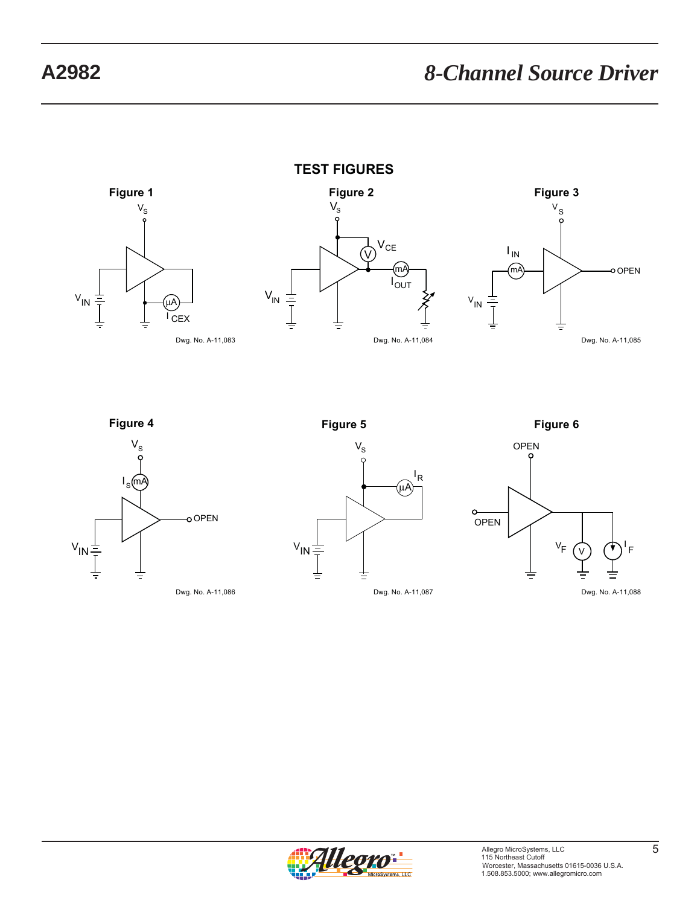















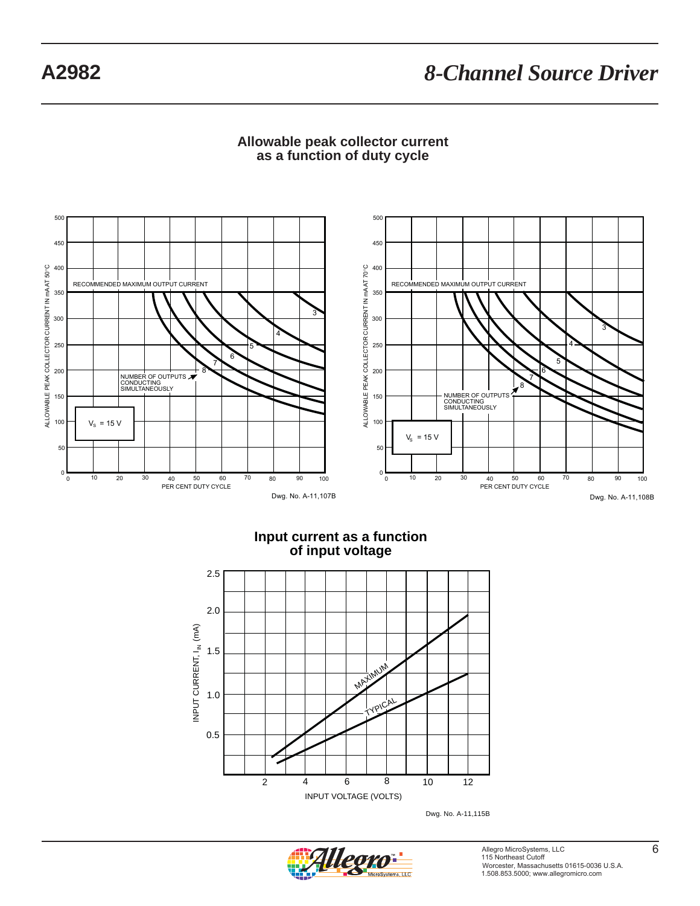# **A2982** *8-Channel Source Driver*



### **Allowable peak collector current as a function of duty cycle**

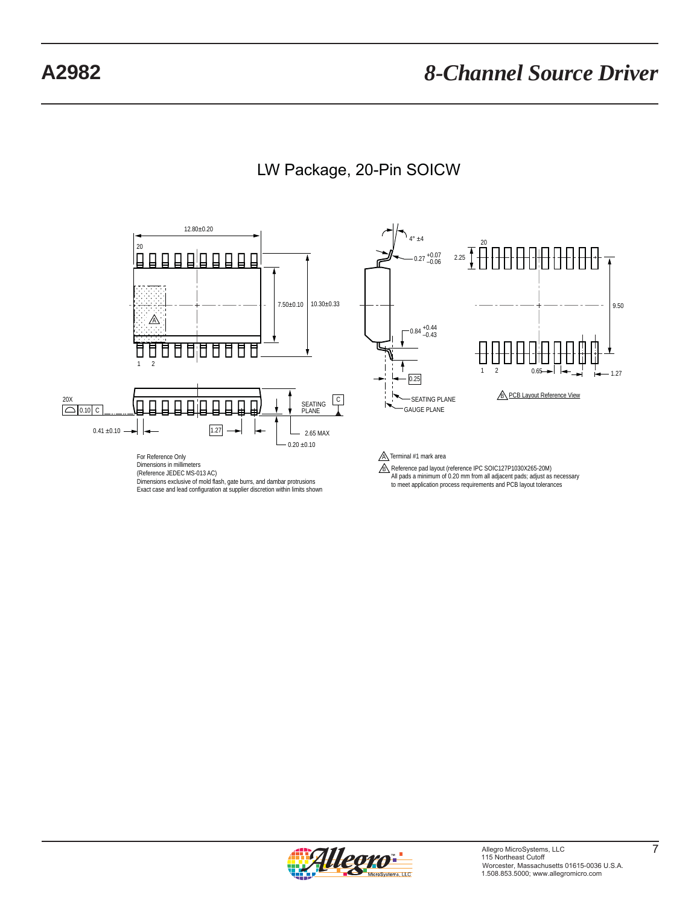

## LW Package, 20-Pin SOICW